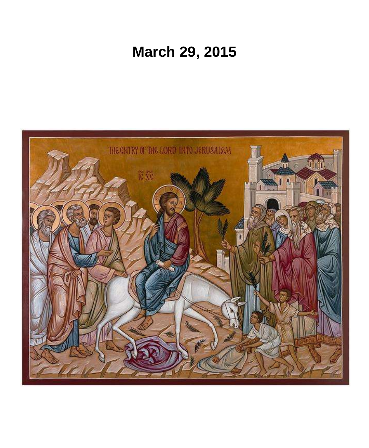# **March 29, 2015**

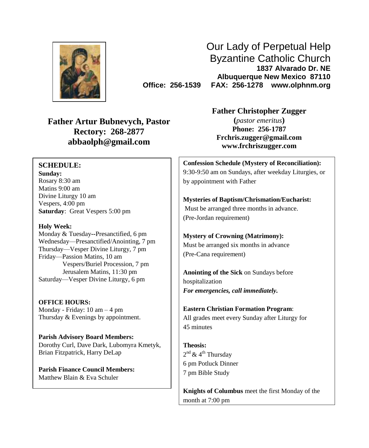

Our Lady of Perpetual Help Byzantine Catholic Church **1837 Alvarado Dr. NE Albuquerque New Mexico 87110 Office: 256-1539 FAX: 256-1278 www.olphnm.org**

**Father Artur Bubnevych, Pastor Rectory: 268-2877 abbaolph@gmail.com**

#### **SCHEDULE:**

**Sunday:** Rosary 8:30 am Matins 9:00 am Divine Liturgy 10 am Vespers, 4:00 pm **Saturday**: Great Vespers 5:00 pm

#### **Holy Week:**

Monday & Tuesday**--**Presanctified, 6 pm Wednesday—Presanctified/Anointing, 7 pm Thursday—Vesper Divine Liturgy, 7 pm Friday—Passion Matins, 10 am Vespers/Buriel Procession, 7 pm Jerusalem Matins, 11:30 pm Saturday—Vesper Divine Liturgy, 6 pm

**OFFICE HOURS:** Monday - Friday: 10 am – 4 pm Thursday & Evenings by appointment.

**Parish Advisory Board Members:** Dorothy Curl, Dave Dark, Lubomyra Kmetyk, Brian Fitzpatrick, Harry DeLap

**Parish Finance Council Members:** Matthew Blain & Eva Schuler

**Father Christopher Zugger**

**(***pastor emeritus***) Phone: 256-1787 [Frchris.zugger@gmail.com](mailto:Frchris.zugger@gmail.com) www.frchriszugger.com**

**Confession Schedule (Mystery of Reconciliation):** 9:30-9:50 am on Sundays, after weekday Liturgies, or by appointment with Father

**Mysteries of Baptism/Chrismation/Eucharist:** Must be arranged three months in advance. (Pre-Jordan requirement)

**Mystery of Crowning (Matrimony):** Must be arranged six months in advance (Pre-Cana requirement)

**Anointing of the Sick** on Sundays before hospitalization *For emergencies, call immediately.*

**Eastern Christian Formation Program**: All grades meet every Sunday after Liturgy for 45 minutes

**Theosis:** 2<sup>nd</sup> & 4<sup>th</sup> Thursday 6 pm Potluck Dinner 7 pm Bible Study

**Knights of Columbus** meet the first Monday of the month at 7:00 pm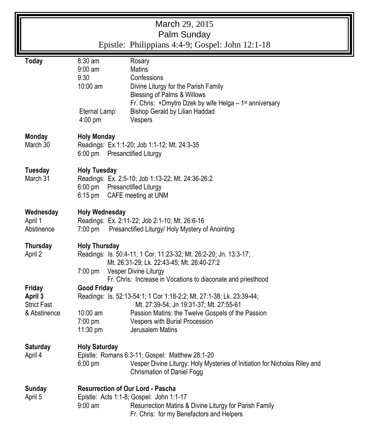|                                                         | March 29, 2015<br>Palm Sunday                                                                                                                                                                                                                                                                                                                         |
|---------------------------------------------------------|-------------------------------------------------------------------------------------------------------------------------------------------------------------------------------------------------------------------------------------------------------------------------------------------------------------------------------------------------------|
|                                                         | Epistle: Philippians 4:4-9; Gospel: John 12:1-18                                                                                                                                                                                                                                                                                                      |
| <b>Today</b>                                            | 8:30 am<br>Rosary<br>9:00 am<br><b>Matins</b><br>9:30<br>Confessions<br>10:00 am<br>Divine Liturgy for the Parish Family<br>Blessing of Palms & Willows<br>Fr. Chris: +Dmytro Dzek by wife Helga - 1 <sup>st</sup> anniversary<br>Bishop Gerald by Lilian Haddad<br>Eternal Lamp:<br>4:00 pm<br>Vespers                                               |
| <b>Monday</b><br>March 30                               | <b>Holy Monday</b><br>Readings: Ex.1:1-20; Job 1:1-12; Mt. 24:3-35<br>6:00 pm Presanctified Liturgy                                                                                                                                                                                                                                                   |
| <b>Tuesday</b><br>March 31                              | <b>Holy Tuesday</b><br>Readings: Ex. 2:5-10; Job 1:13-22; Mt. 24:36-26:2<br><b>Presanctified Liturgy</b><br>$6:00 \text{ pm}$<br>$6:15$ pm<br>CAFE meeting at UNM                                                                                                                                                                                     |
| Wednesday<br>April 1<br>Abstinence                      | <b>Holy Wednesday</b><br>Readings: Ex. 2:11-22; Job 2:1-10; Mt. 26:6-16<br>Presanctified Liturgy/ Holy Mystery of Anointing<br>$7:00$ pm                                                                                                                                                                                                              |
| <b>Thursday</b><br>April 2                              | <b>Holy Thursday</b><br>Readings: Is. 50:4-11; 1 Cor. 11:23-32; Mt. 26:2-20; Jn. 13:3-17;<br>Mt. 26:31-29; Lk. 22:43-45; Mt. 26:40-27:2<br>Vesper Divine Liturgy<br>$7:00 \text{ pm}$                                                                                                                                                                 |
| Friday<br>April 3<br><b>Strict Fast</b><br>& Abstinence | Fr. Chris: Increase in Vocations to diaconate and priesthood<br><b>Good Friday</b><br>Readings: Is. 52:13-54:1; 1 Cor 1:18-2:2; Mt. 27:1-38; Lk. 23:39-44;<br>Mt. 27:39-54; Jn 19:31-37; Mt. 27:55-61<br>$10:00$ am<br>Passion Matins: the Twelve Gospels of the Passion<br>7:00 pm<br>Vespers with Burial Procession<br>11:30 pm<br>Jerusalem Matins |
| <b>Saturday</b><br>April 4                              | <b>Holy Saturday</b><br>Epistle: Romans 6:3-11; Gospel: Matthew 28:1-20<br>$6:00 \text{ pm}$<br>Vesper Divine Liturgy: Holy Mysteries of Initiation for Nicholas Riley and<br>Chrismation of Daniel Fogg                                                                                                                                              |
| <b>Sunday</b><br>April 5                                | Resurrection of Our Lord - Pascha<br>Epistle: Acts 1:1-8; Gospel: John 1:1-17<br>$9:00$ am<br>Resurrection Matins & Divine Liturgy for Parish Family<br>Fr. Chris: for my Benefactors and Helpers                                                                                                                                                     |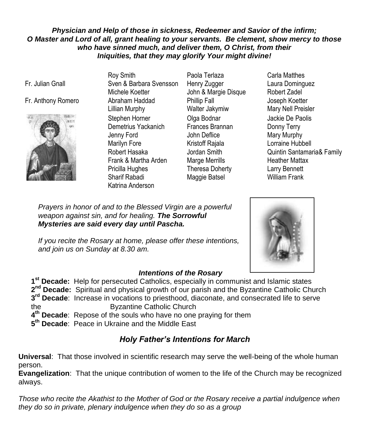## *Physician and Help of those in sickness, Redeemer and Savior of the infirm; O Master and Lord of all, grant healing to your servants. Be clement, show mercy to those who have sinned much, and deliver them, O Christ, from their Iniquities, that they may glorify Your might divine!*

Fr. Julian Gnall

## Fr. Anthony Romero Abraham Haddad



Roy Smith Sven & Barbara Svensson Michele Koetter Lillian Murphy Stephen Horner Demetrius Yackanich Jenny Ford Marilyn Fore Robert Hasaka Frank & Martha Arden Pricilla Hughes Sharif Rabadi Katrina Anderson

- Paola Terlaza Henry Zugger John & Margie Disque Phillip Fall Walter Jakymiw Olga Bodnar Frances Brannan John Deflice Kristoff Rajala Jordan Smith Marge Merrills Theresa Doherty Maggie Batsel
- Carla Matthes Laura Dominguez Robert Zadel Joseph Koetter Mary Nell Preisler Jackie De Paolis Donny Terry Mary Murphy Lorraine Hubbell Quintin Santamaria& Family Heather Mattax Larry Bennett William Frank

*Prayers in honor of and to the Blessed Virgin are a powerful weapon against sin, and for healing. The Sorrowful Mysteries are said every day until Pascha.* 

*If you recite the Rosary at home, please offer these intentions, and join us on Sunday at 8.30 am.*



#### *Intentions of the Rosary*

**1 st Decade:** Help for persecuted Catholics, especially in communist and Islamic states 2<sup>nd</sup> Decade: Spiritual and physical growth of our parish and the Byzantine Catholic Church **3 rd Decade**: Increase in vocations to priesthood, diaconate, and consecrated life to serve the Byzantine Catholic Church

**4 th Decade**: Repose of the souls who have no one praying for them

**5 th Decade**: Peace in Ukraine and the Middle East

# *Holy Father's Intentions for March*

**Universal**: That those involved in scientific research may serve the well-being of the whole human person.

**Evangelization**: That the unique contribution of women to the life of the Church may be recognized always.

*Those who recite the Akathist to the Mother of God or the Rosary receive a partial indulgence when they do so in private, plenary indulgence when they do so as a group*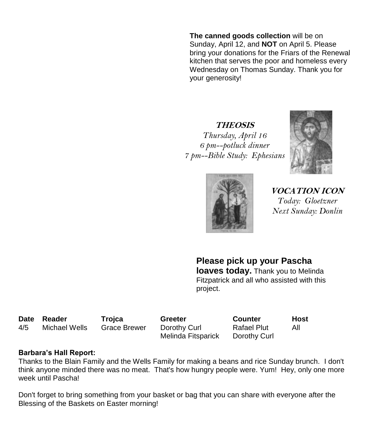**The canned goods collection** will be on Sunday, April 12, and **NOT** on April 5. Please bring your donations for the Friars of the Renewal kitchen that serves the poor and homeless every Wednesday on Thomas Sunday. Thank you for your generosity!

**THEOSIS** *Thursday, April 16 6 pm--potluck dinner 7 pm--Bible Study: Ephesians*





**VOCATION ICON** *Today: Gloetzner Next Sunday: Donlin*

**Please pick up your Pascha loaves today.** Thank you to Melinda Fitzpatrick and all who assisted with this project.

**Date Reader Trojca Greeter Counter Host** 4/5 Michael Wells Grace Brewer Dorothy Curl

Melinda Fitsparick

Rafael Plut Dorothy Curl

All

## **Barbara's Hall Report:**

Thanks to the Blain Family and the Wells Family for making a beans and rice Sunday brunch. I don't think anyone minded there was no meat. That's how hungry people were. Yum! Hey, only one more week until Pascha!

Don't forget to bring something from your basket or bag that you can share with everyone after the Blessing of the Baskets on Easter morning!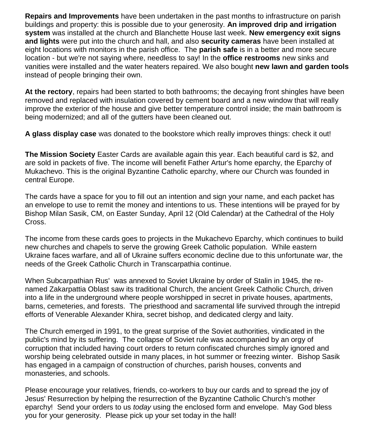**Repairs and Improvements** have been undertaken in the past months to infrastructure on parish buildings and property: this is possible due to your generosity. **An improved drip and irrigation system** was installed at the church and Blanchette House last week. **New emergency exit signs and lights** were put into the church and hall, and also **security cameras** have been installed at eight locations with monitors in the parish office. The **parish safe** is in a better and more secure location - but we're not saying where, needless to say! In the **office restrooms** new sinks and vanities were installed and the water heaters repaired. We also bought **new lawn and garden tools** instead of people bringing their own.

**At the rectory**, repairs had been started to both bathrooms; the decaying front shingles have been removed and replaced with insulation covered by cement board and a new window that will really improve the exterior of the house and give better temperature control inside; the main bathroom is being modernized; and all of the gutters have been cleaned out.

**A glass display case** was donated to the bookstore which really improves things: check it out!

**The Mission Society** Easter Cards are available again this year. Each beautiful card is \$2, and are sold in packets of five. The income will benefit Father Artur's home eparchy, the Eparchy of Mukachevo. This is the original Byzantine Catholic eparchy, where our Church was founded in central Europe.

The cards have a space for you to fill out an intention and sign your name, and each packet has an envelope to use to remit the money and intentions to us. These intentions will be prayed for by Bishop Milan Sasik, CM, on Easter Sunday, April 12 (Old Calendar) at the Cathedral of the Holy Cross.

The income from these cards goes to projects in the Mukachevo Eparchy, which continues to build new churches and chapels to serve the growing Greek Catholic population. While eastern Ukraine faces warfare, and all of Ukraine suffers economic decline due to this unfortunate war, the needs of the Greek Catholic Church in Transcarpathia continue.

When Subcarpathian Rus' was annexed to Soviet Ukraine by order of Stalin in 1945, the renamed Zakarpattia Oblast saw its traditional Church, the ancient Greek Catholic Church, driven into a life in the underground where people worshipped in secret in private houses, apartments, barns, cemeteries, and forests. The priesthood and sacramental life survived through the intrepid efforts of Venerable Alexander Khira, secret bishop, and dedicated clergy and laity.

The Church emerged in 1991, to the great surprise of the Soviet authorities, vindicated in the public's mind by its suffering. The collapse of Soviet rule was accompanied by an orgy of corruption that included having court orders to return confiscated churches simply ignored and worship being celebrated outside in many places, in hot summer or freezing winter. Bishop Sasik has engaged in a campaign of construction of churches, parish houses, convents and monasteries, and schools.

Please encourage your relatives, friends, co-workers to buy our cards and to spread the joy of Jesus' Resurrection by helping the resurrection of the Byzantine Catholic Church's mother eparchy! Send your orders to us *today* using the enclosed form and envelope. May God bless you for your generosity. Please pick up your set today in the hall!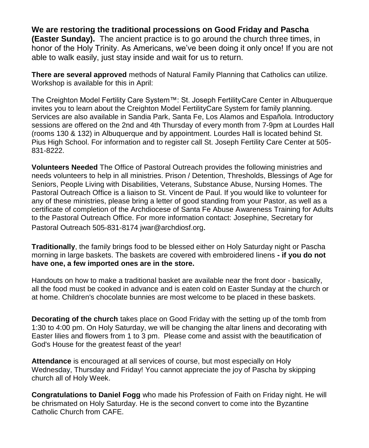# **We are restoring the traditional processions on Good Friday and Pascha**

**(Easter Sunday).** The ancient practice is to go around the church three times, in honor of the Holy Trinity. As Americans, we've been doing it only once! If you are not able to walk easily, just stay inside and wait for us to return.

**There are several approved** methods of Natural Family Planning that Catholics can utilize. Workshop is available for this in April:

The Creighton Model Fertility Care System™: St. Joseph FertilityCare Center in Albuquerque invites you to learn about the Creighton Model FertilityCare System for family planning. Services are also available in Sandia Park, Santa Fe, Los Alamos and Española. Introductory sessions are offered on the 2nd and 4th Thursday of every month from 7-9pm at Lourdes Hall (rooms 130 & 132) in Albuquerque and by appointment. Lourdes Hall is located behind St. Pius High School. For information and to register call St. Joseph Fertility Care Center at 505- 831-8222.

**Volunteers Needed** The Office of Pastoral Outreach provides the following ministries and needs volunteers to help in all ministries. Prison / Detention, Thresholds, Blessings of Age for Seniors, People Living with Disabilities, Veterans, Substance Abuse, Nursing Homes. The Pastoral Outreach Office is a liaison to St. Vincent de Paul. If you would like to volunteer for any of these ministries, please bring a letter of good standing from your Pastor, as well as a certificate of completion of the Archdiocese of Santa Fe Abuse Awareness Training for Adults to the Pastoral Outreach Office. For more information contact: Josephine, Secretary for Pastoral Outreach 505-831-8174 [jwar@archdiosf.org](mailto:jwar@archdiosf.org).

**Traditionally**, the family brings food to be blessed either on Holy Saturday night or Pascha morning in large baskets. The baskets are covered with embroidered linens **- if you do not have one, a few imported ones are in the store.** 

Handouts on how to make a traditional basket are available near the front door - basically, all the food must be cooked in advance and is eaten cold on Easter Sunday at the church or at home. Children's chocolate bunnies are most welcome to be placed in these baskets.

**Decorating of the church** takes place on Good Friday with the setting up of the tomb from 1:30 to 4:00 pm. On Holy Saturday, we will be changing the altar linens and decorating with Easter lilies and flowers from 1 to 3 pm. Please come and assist with the beautification of God's House for the greatest feast of the year!

**Attendance** is encouraged at all services of course, but most especially on Holy Wednesday, Thursday and Friday! You cannot appreciate the joy of Pascha by skipping church all of Holy Week.

**Congratulations to Daniel Fogg** who made his Profession of Faith on Friday night. He will be chrismated on Holy Saturday. He is the second convert to come into the Byzantine Catholic Church from CAFE.